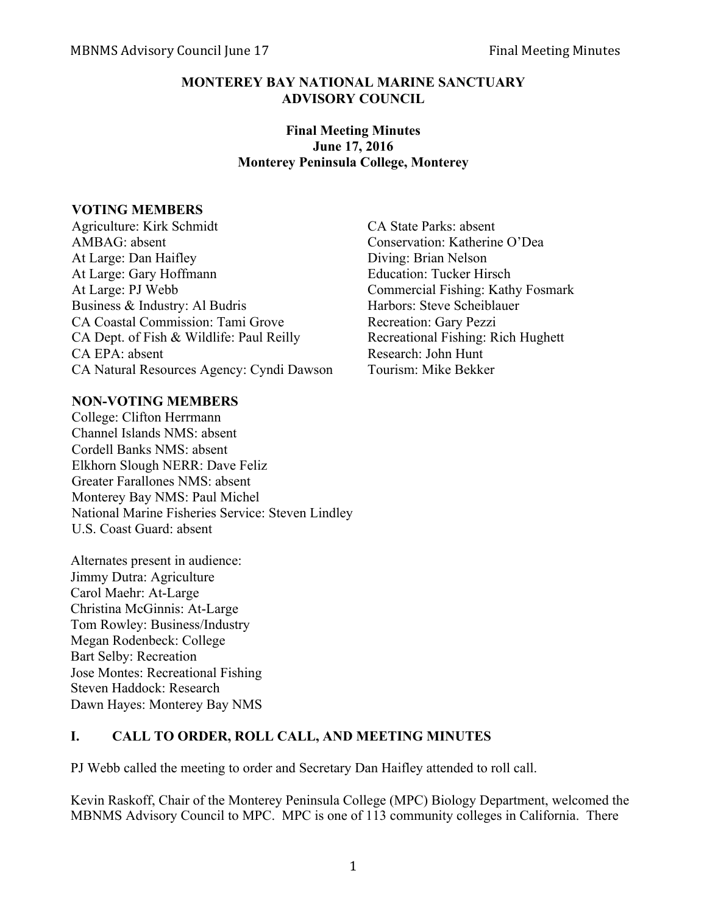### **MONTEREY BAY NATIONAL MARINE SANCTUARY ADVISORY COUNCIL**

## **Final Meeting Minutes June 17, 2016 Monterey Peninsula College, Monterey**

#### **VOTING MEMBERS**

Agriculture: Kirk Schmidt CA State Parks: absent AMBAG: absent Conservation: Katherine O'Dea At Large: Dan Haifley Diving: Brian Nelson At Large: Gary Hoffmann Education: Tucker Hirsch At Large: PJ Webb Commercial Fishing: Kathy Fosmark Business & Industry: Al Budris Harbors: Steve Scheiblauer CA Coastal Commission: Tami Grove Recreation: Gary Pezzi CA Dept. of Fish & Wildlife: Paul Reilly Recreational Fishing: Rich Hughett CA EPA: absent Research: John Hunt CA Natural Resources Agency: Cyndi Dawson Tourism: Mike Bekker

## **NON-VOTING MEMBERS**

College: Clifton Herrmann Channel Islands NMS: absent Cordell Banks NMS: absent Elkhorn Slough NERR: Dave Feliz Greater Farallones NMS: absent Monterey Bay NMS: Paul Michel National Marine Fisheries Service: Steven Lindley U.S. Coast Guard: absent

Alternates present in audience: Jimmy Dutra: Agriculture Carol Maehr: At-Large Christina McGinnis: At-Large Tom Rowley: Business/Industry Megan Rodenbeck: College Bart Selby: Recreation Jose Montes: Recreational Fishing Steven Haddock: Research Dawn Hayes: Monterey Bay NMS

## **I. CALL TO ORDER, ROLL CALL, AND MEETING MINUTES**

PJ Webb called the meeting to order and Secretary Dan Haifley attended to roll call.

Kevin Raskoff, Chair of the Monterey Peninsula College (MPC) Biology Department, welcomed the MBNMS Advisory Council to MPC. MPC is one of 113 community colleges in California. There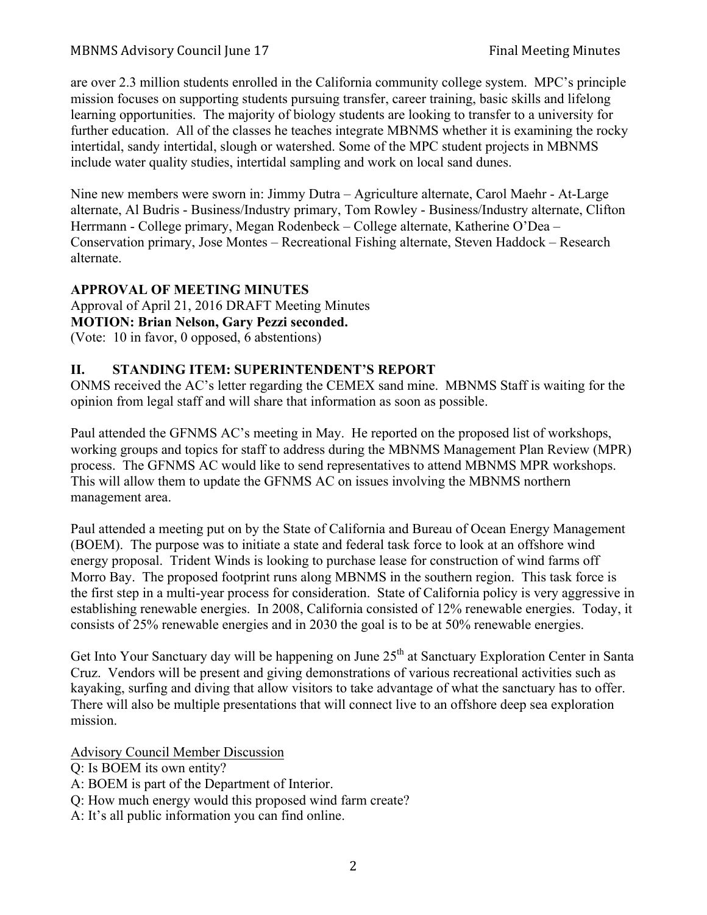are over 2.3 million students enrolled in the California community college system. MPC's principle mission focuses on supporting students pursuing transfer, career training, basic skills and lifelong learning opportunities. The majority of biology students are looking to transfer to a university for further education. All of the classes he teaches integrate MBNMS whether it is examining the rocky intertidal, sandy intertidal, slough or watershed. Some of the MPC student projects in MBNMS include water quality studies, intertidal sampling and work on local sand dunes.

Nine new members were sworn in: Jimmy Dutra – Agriculture alternate, Carol Maehr - At-Large alternate, Al Budris - Business/Industry primary, Tom Rowley - Business/Industry alternate, Clifton Herrmann - College primary, Megan Rodenbeck – College alternate, Katherine O'Dea – Conservation primary, Jose Montes – Recreational Fishing alternate, Steven Haddock – Research alternate.

## **APPROVAL OF MEETING MINUTES**

Approval of April 21, 2016 DRAFT Meeting Minutes **MOTION: Brian Nelson, Gary Pezzi seconded.** (Vote: 10 in favor, 0 opposed, 6 abstentions)

## **II. STANDING ITEM: SUPERINTENDENT'S REPORT**

ONMS received the AC's letter regarding the CEMEX sand mine. MBNMS Staff is waiting for the opinion from legal staff and will share that information as soon as possible.

Paul attended the GFNMS AC's meeting in May. He reported on the proposed list of workshops, working groups and topics for staff to address during the MBNMS Management Plan Review (MPR) process. The GFNMS AC would like to send representatives to attend MBNMS MPR workshops. This will allow them to update the GFNMS AC on issues involving the MBNMS northern management area.

Paul attended a meeting put on by the State of California and Bureau of Ocean Energy Management (BOEM). The purpose was to initiate a state and federal task force to look at an offshore wind energy proposal. Trident Winds is looking to purchase lease for construction of wind farms off Morro Bay. The proposed footprint runs along MBNMS in the southern region. This task force is the first step in a multi-year process for consideration. State of California policy is very aggressive in establishing renewable energies. In 2008, California consisted of 12% renewable energies. Today, it consists of 25% renewable energies and in 2030 the goal is to be at 50% renewable energies.

Get Into Your Sanctuary day will be happening on June  $25<sup>th</sup>$  at Sanctuary Exploration Center in Santa Cruz. Vendors will be present and giving demonstrations of various recreational activities such as kayaking, surfing and diving that allow visitors to take advantage of what the sanctuary has to offer. There will also be multiple presentations that will connect live to an offshore deep sea exploration mission.

Advisory Council Member Discussion

- Q: Is BOEM its own entity?
- A: BOEM is part of the Department of Interior.
- Q: How much energy would this proposed wind farm create?
- A: It's all public information you can find online.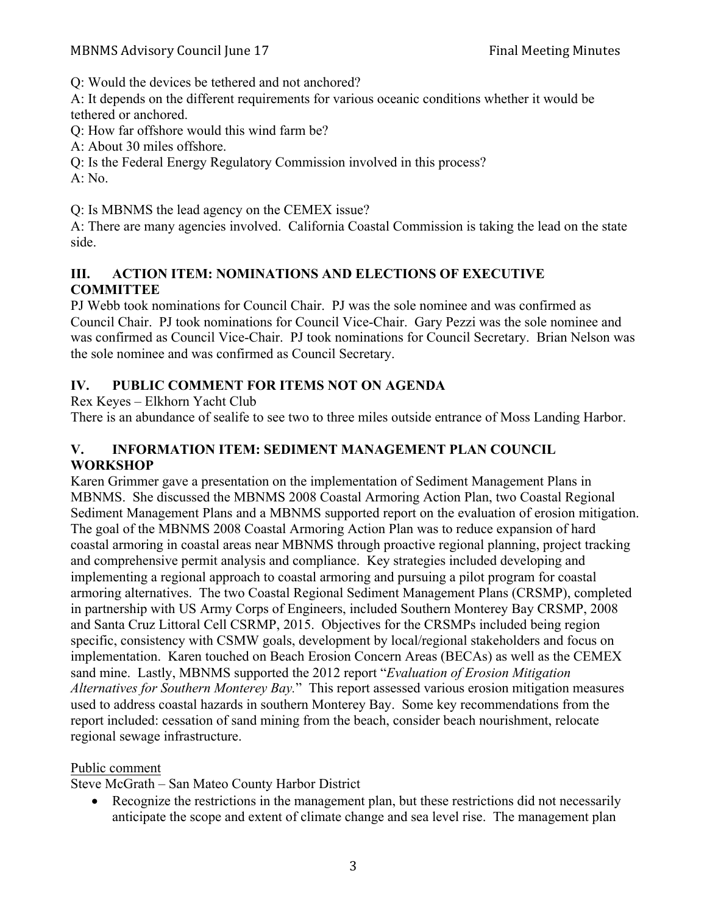Q: Would the devices be tethered and not anchored?

A: It depends on the different requirements for various oceanic conditions whether it would be tethered or anchored.

Q: How far offshore would this wind farm be?

A: About 30 miles offshore.

Q: Is the Federal Energy Regulatory Commission involved in this process?

A: No.

Q: Is MBNMS the lead agency on the CEMEX issue?

A: There are many agencies involved. California Coastal Commission is taking the lead on the state side.

## **III. ACTION ITEM: NOMINATIONS AND ELECTIONS OF EXECUTIVE COMMITTEE**

PJ Webb took nominations for Council Chair. PJ was the sole nominee and was confirmed as Council Chair. PJ took nominations for Council Vice-Chair. Gary Pezzi was the sole nominee and was confirmed as Council Vice-Chair. PJ took nominations for Council Secretary. Brian Nelson was the sole nominee and was confirmed as Council Secretary.

# **IV. PUBLIC COMMENT FOR ITEMS NOT ON AGENDA**

Rex Keyes – Elkhorn Yacht Club

There is an abundance of sealife to see two to three miles outside entrance of Moss Landing Harbor.

## **V. INFORMATION ITEM: SEDIMENT MANAGEMENT PLAN COUNCIL WORKSHOP**

Karen Grimmer gave a presentation on the implementation of Sediment Management Plans in MBNMS. She discussed the MBNMS 2008 Coastal Armoring Action Plan, two Coastal Regional Sediment Management Plans and a MBNMS supported report on the evaluation of erosion mitigation. The goal of the MBNMS 2008 Coastal Armoring Action Plan was to reduce expansion of hard coastal armoring in coastal areas near MBNMS through proactive regional planning, project tracking and comprehensive permit analysis and compliance. Key strategies included developing and implementing a regional approach to coastal armoring and pursuing a pilot program for coastal armoring alternatives. The two Coastal Regional Sediment Management Plans (CRSMP), completed in partnership with US Army Corps of Engineers, included Southern Monterey Bay CRSMP, 2008 and Santa Cruz Littoral Cell CSRMP, 2015. Objectives for the CRSMPs included being region specific, consistency with CSMW goals, development by local/regional stakeholders and focus on implementation. Karen touched on Beach Erosion Concern Areas (BECAs) as well as the CEMEX sand mine. Lastly, MBNMS supported the 2012 report "*Evaluation of Erosion Mitigation Alternatives for Southern Monterey Bay.*" This report assessed various erosion mitigation measures used to address coastal hazards in southern Monterey Bay. Some key recommendations from the report included: cessation of sand mining from the beach, consider beach nourishment, relocate regional sewage infrastructure.

# Public comment

Steve McGrath – San Mateo County Harbor District

• Recognize the restrictions in the management plan, but these restrictions did not necessarily anticipate the scope and extent of climate change and sea level rise. The management plan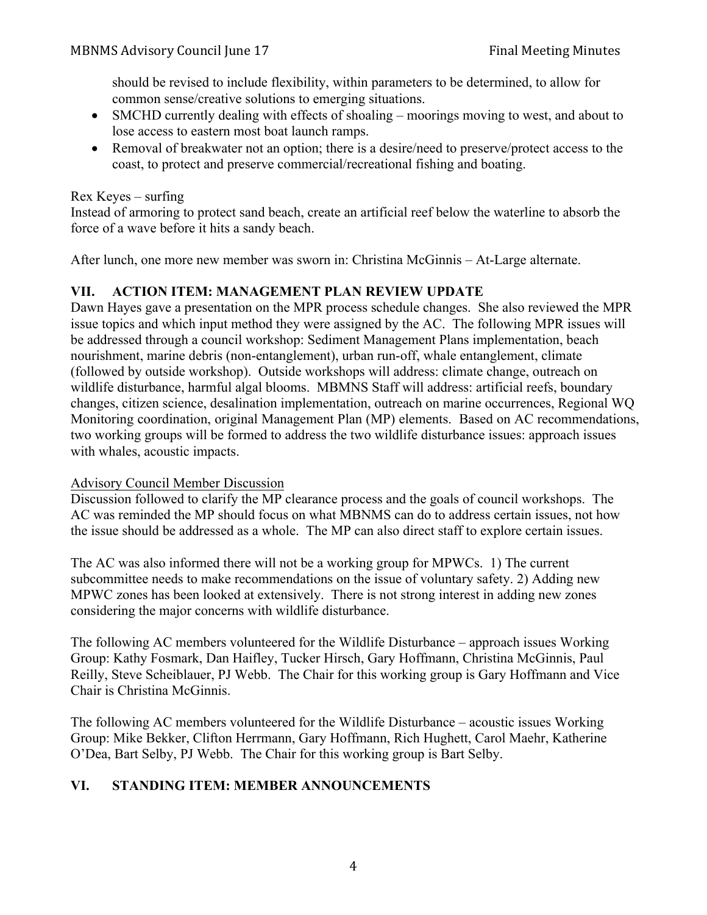should be revised to include flexibility, within parameters to be determined, to allow for common sense/creative solutions to emerging situations.

- SMCHD currently dealing with effects of shoaling moorings moving to west, and about to lose access to eastern most boat launch ramps.
- Removal of breakwater not an option; there is a desire/need to preserve/protect access to the coast, to protect and preserve commercial/recreational fishing and boating.

#### Rex Keyes – surfing

Instead of armoring to protect sand beach, create an artificial reef below the waterline to absorb the force of a wave before it hits a sandy beach.

After lunch, one more new member was sworn in: Christina McGinnis – At-Large alternate.

## **VII. ACTION ITEM: MANAGEMENT PLAN REVIEW UPDATE**

Dawn Hayes gave a presentation on the MPR process schedule changes. She also reviewed the MPR issue topics and which input method they were assigned by the AC. The following MPR issues will be addressed through a council workshop: Sediment Management Plans implementation, beach nourishment, marine debris (non-entanglement), urban run-off, whale entanglement, climate (followed by outside workshop). Outside workshops will address: climate change, outreach on wildlife disturbance, harmful algal blooms. MBMNS Staff will address: artificial reefs, boundary changes, citizen science, desalination implementation, outreach on marine occurrences, Regional WQ Monitoring coordination, original Management Plan (MP) elements. Based on AC recommendations, two working groups will be formed to address the two wildlife disturbance issues: approach issues with whales, acoustic impacts.

#### Advisory Council Member Discussion

Discussion followed to clarify the MP clearance process and the goals of council workshops. The AC was reminded the MP should focus on what MBNMS can do to address certain issues, not how the issue should be addressed as a whole. The MP can also direct staff to explore certain issues.

The AC was also informed there will not be a working group for MPWCs. 1) The current subcommittee needs to make recommendations on the issue of voluntary safety. 2) Adding new MPWC zones has been looked at extensively. There is not strong interest in adding new zones considering the major concerns with wildlife disturbance.

The following AC members volunteered for the Wildlife Disturbance – approach issues Working Group: Kathy Fosmark, Dan Haifley, Tucker Hirsch, Gary Hoffmann, Christina McGinnis, Paul Reilly, Steve Scheiblauer, PJ Webb. The Chair for this working group is Gary Hoffmann and Vice Chair is Christina McGinnis.

The following AC members volunteered for the Wildlife Disturbance – acoustic issues Working Group: Mike Bekker, Clifton Herrmann, Gary Hoffmann, Rich Hughett, Carol Maehr, Katherine O'Dea, Bart Selby, PJ Webb. The Chair for this working group is Bart Selby.

## **VI. STANDING ITEM: MEMBER ANNOUNCEMENTS**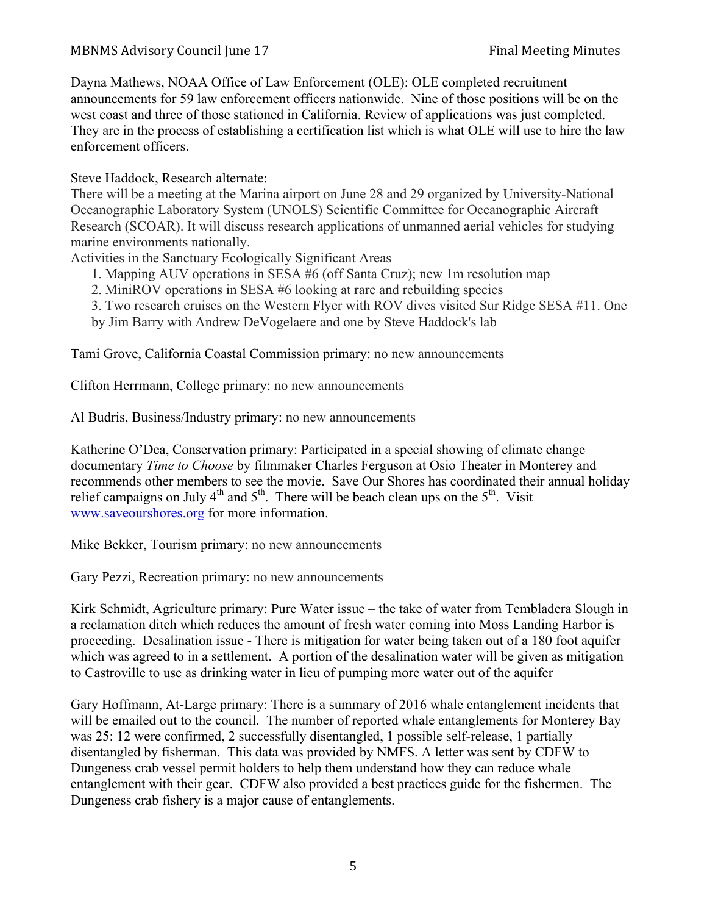Dayna Mathews, NOAA Office of Law Enforcement (OLE): OLE completed recruitment announcements for 59 law enforcement officers nationwide. Nine of those positions will be on the west coast and three of those stationed in California. Review of applications was just completed. They are in the process of establishing a certification list which is what OLE will use to hire the law enforcement officers.

Steve Haddock, Research alternate:

There will be a meeting at the Marina airport on June 28 and 29 organized by University-National Oceanographic Laboratory System (UNOLS) Scientific Committee for Oceanographic Aircraft Research (SCOAR). It will discuss research applications of unmanned aerial vehicles for studying marine environments nationally.

Activities in the Sanctuary Ecologically Significant Areas

- 1. Mapping AUV operations in SESA #6 (off Santa Cruz); new 1m resolution map
- 2. MiniROV operations in SESA #6 looking at rare and rebuilding species
- 3. Two research cruises on the Western Flyer with ROV dives visited Sur Ridge SESA #11. One
- by Jim Barry with Andrew DeVogelaere and one by Steve Haddock's lab

Tami Grove, California Coastal Commission primary: no new announcements

Clifton Herrmann, College primary: no new announcements

Al Budris, Business/Industry primary: no new announcements

Katherine O'Dea, Conservation primary: Participated in a special showing of climate change documentary *Time to Choose* by filmmaker Charles Ferguson at Osio Theater in Monterey and recommends other members to see the movie. Save Our Shores has coordinated their annual holiday relief campaigns on July  $4<sup>th</sup>$  and  $5<sup>th</sup>$ . There will be beach clean ups on the  $5<sup>th</sup>$ . Visit www.saveourshores.org for more information.

Mike Bekker, Tourism primary: no new announcements

Gary Pezzi, Recreation primary: no new announcements

Kirk Schmidt, Agriculture primary: Pure Water issue – the take of water from Tembladera Slough in a reclamation ditch which reduces the amount of fresh water coming into Moss Landing Harbor is proceeding. Desalination issue - There is mitigation for water being taken out of a 180 foot aquifer which was agreed to in a settlement. A portion of the desalination water will be given as mitigation to Castroville to use as drinking water in lieu of pumping more water out of the aquifer

Gary Hoffmann, At-Large primary: There is a summary of 2016 whale entanglement incidents that will be emailed out to the council. The number of reported whale entanglements for Monterey Bay was 25: 12 were confirmed, 2 successfully disentangled, 1 possible self-release, 1 partially disentangled by fisherman. This data was provided by NMFS. A letter was sent by CDFW to Dungeness crab vessel permit holders to help them understand how they can reduce whale entanglement with their gear. CDFW also provided a best practices guide for the fishermen. The Dungeness crab fishery is a major cause of entanglements.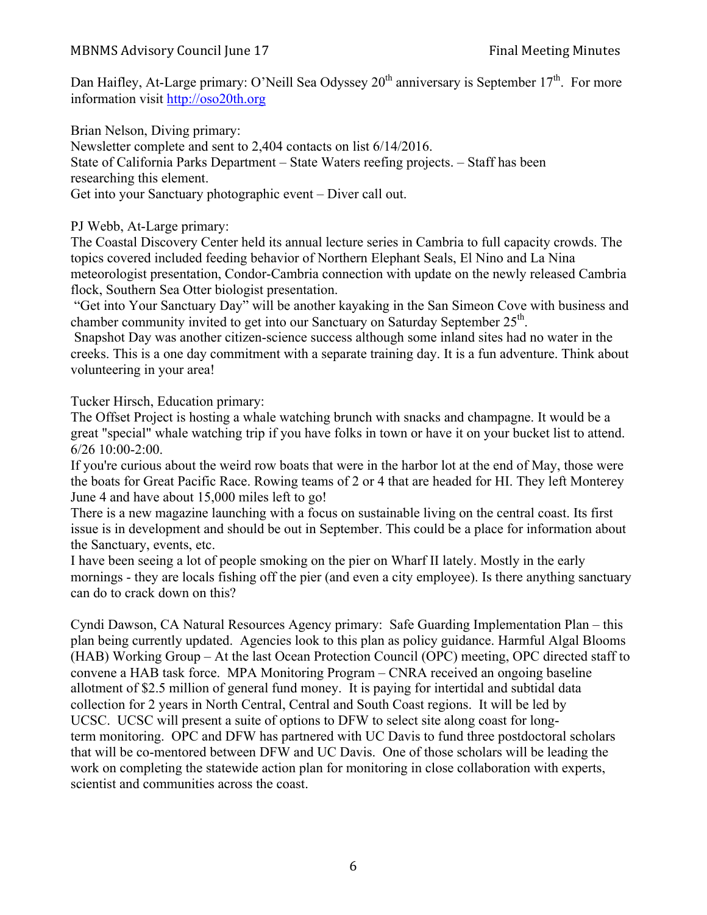Dan Haifley, At-Large primary: O'Neill Sea Odyssey  $20<sup>th</sup>$  anniversary is September 17<sup>th</sup>. For more information visit http://oso20th.org

Brian Nelson, Diving primary: Newsletter complete and sent to 2,404 contacts on list 6/14/2016. State of California Parks Department – State Waters reefing projects. – Staff has been researching this element. Get into your Sanctuary photographic event – Diver call out.

PJ Webb, At-Large primary:

The Coastal Discovery Center held its annual lecture series in Cambria to full capacity crowds. The topics covered included feeding behavior of Northern Elephant Seals, El Nino and La Nina meteorologist presentation, Condor-Cambria connection with update on the newly released Cambria flock, Southern Sea Otter biologist presentation.

"Get into Your Sanctuary Day" will be another kayaking in the San Simeon Cove with business and chamber community invited to get into our Sanctuary on Saturday September 25th.

Snapshot Day was another citizen-science success although some inland sites had no water in the creeks. This is a one day commitment with a separate training day. It is a fun adventure. Think about volunteering in your area!

Tucker Hirsch, Education primary:

The Offset Project is hosting a whale watching brunch with snacks and champagne. It would be a great "special" whale watching trip if you have folks in town or have it on your bucket list to attend. 6/26 10:00-2:00.

If you're curious about the weird row boats that were in the harbor lot at the end of May, those were the boats for Great Pacific Race. Rowing teams of 2 or 4 that are headed for HI. They left Monterey June 4 and have about 15,000 miles left to go!

There is a new magazine launching with a focus on sustainable living on the central coast. Its first issue is in development and should be out in September. This could be a place for information about the Sanctuary, events, etc.

I have been seeing a lot of people smoking on the pier on Wharf II lately. Mostly in the early mornings - they are locals fishing off the pier (and even a city employee). Is there anything sanctuary can do to crack down on this?

Cyndi Dawson, CA Natural Resources Agency primary: Safe Guarding Implementation Plan – this plan being currently updated. Agencies look to this plan as policy guidance. Harmful Algal Blooms (HAB) Working Group – At the last Ocean Protection Council (OPC) meeting, OPC directed staff to convene a HAB task force. MPA Monitoring Program – CNRA received an ongoing baseline allotment of \$2.5 million of general fund money. It is paying for intertidal and subtidal data collection for 2 years in North Central, Central and South Coast regions. It will be led by UCSC. UCSC will present a suite of options to DFW to select site along coast for longterm monitoring. OPC and DFW has partnered with UC Davis to fund three postdoctoral scholars that will be co-mentored between DFW and UC Davis. One of those scholars will be leading the work on completing the statewide action plan for monitoring in close collaboration with experts, scientist and communities across the coast.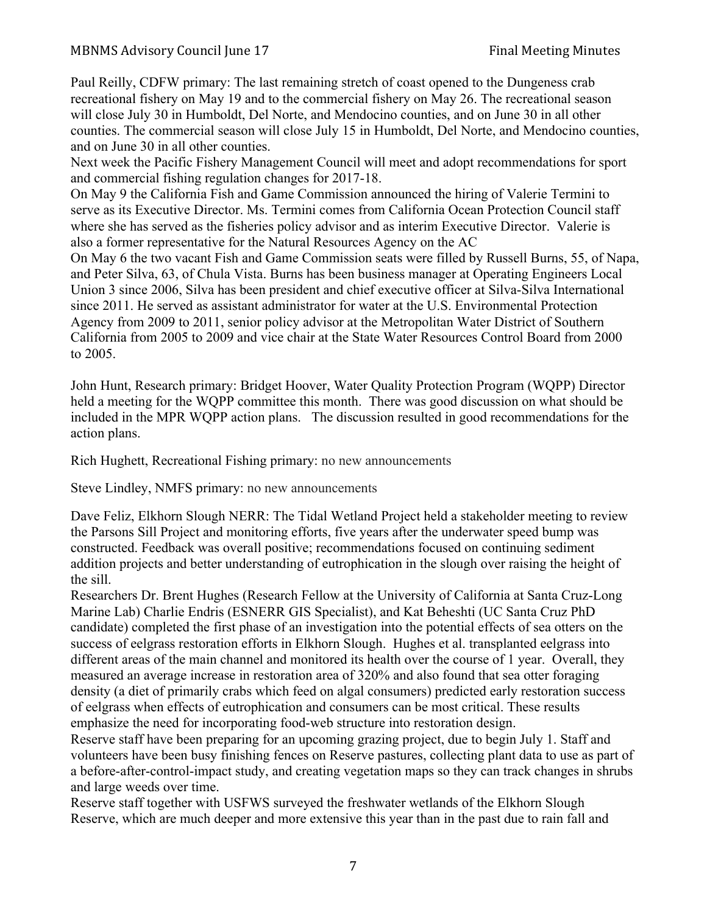Paul Reilly, CDFW primary: The last remaining stretch of coast opened to the Dungeness crab recreational fishery on May 19 and to the commercial fishery on May 26. The recreational season will close July 30 in Humboldt, Del Norte, and Mendocino counties, and on June 30 in all other counties. The commercial season will close July 15 in Humboldt, Del Norte, and Mendocino counties, and on June 30 in all other counties.

Next week the Pacific Fishery Management Council will meet and adopt recommendations for sport and commercial fishing regulation changes for 2017-18.

On May 9 the California Fish and Game Commission announced the hiring of Valerie Termini to serve as its Executive Director. Ms. Termini comes from California Ocean Protection Council staff where she has served as the fisheries policy advisor and as interim Executive Director. Valerie is also a former representative for the Natural Resources Agency on the AC

On May 6 the two vacant Fish and Game Commission seats were filled by Russell Burns, 55, of Napa, and Peter Silva, 63, of Chula Vista. Burns has been business manager at Operating Engineers Local Union 3 since 2006, Silva has been president and chief executive officer at Silva-Silva International since 2011. He served as assistant administrator for water at the U.S. Environmental Protection Agency from 2009 to 2011, senior policy advisor at the Metropolitan Water District of Southern California from 2005 to 2009 and vice chair at the State Water Resources Control Board from 2000 to 2005.

John Hunt, Research primary: Bridget Hoover, Water Quality Protection Program (WQPP) Director held a meeting for the WQPP committee this month. There was good discussion on what should be included in the MPR WQPP action plans. The discussion resulted in good recommendations for the action plans.

Rich Hughett, Recreational Fishing primary: no new announcements

Steve Lindley, NMFS primary: no new announcements

Dave Feliz, Elkhorn Slough NERR: The Tidal Wetland Project held a stakeholder meeting to review the Parsons Sill Project and monitoring efforts, five years after the underwater speed bump was constructed. Feedback was overall positive; recommendations focused on continuing sediment addition projects and better understanding of eutrophication in the slough over raising the height of the sill.

Researchers Dr. Brent Hughes (Research Fellow at the University of California at Santa Cruz-Long Marine Lab) Charlie Endris (ESNERR GIS Specialist), and Kat Beheshti (UC Santa Cruz PhD candidate) completed the first phase of an investigation into the potential effects of sea otters on the success of eelgrass restoration efforts in Elkhorn Slough. Hughes et al. transplanted eelgrass into different areas of the main channel and monitored its health over the course of 1 year. Overall, they measured an average increase in restoration area of 320% and also found that sea otter foraging density (a diet of primarily crabs which feed on algal consumers) predicted early restoration success of eelgrass when effects of eutrophication and consumers can be most critical. These results emphasize the need for incorporating food-web structure into restoration design.

Reserve staff have been preparing for an upcoming grazing project, due to begin July 1. Staff and volunteers have been busy finishing fences on Reserve pastures, collecting plant data to use as part of a before-after-control-impact study, and creating vegetation maps so they can track changes in shrubs and large weeds over time.

Reserve staff together with USFWS surveyed the freshwater wetlands of the Elkhorn Slough Reserve, which are much deeper and more extensive this year than in the past due to rain fall and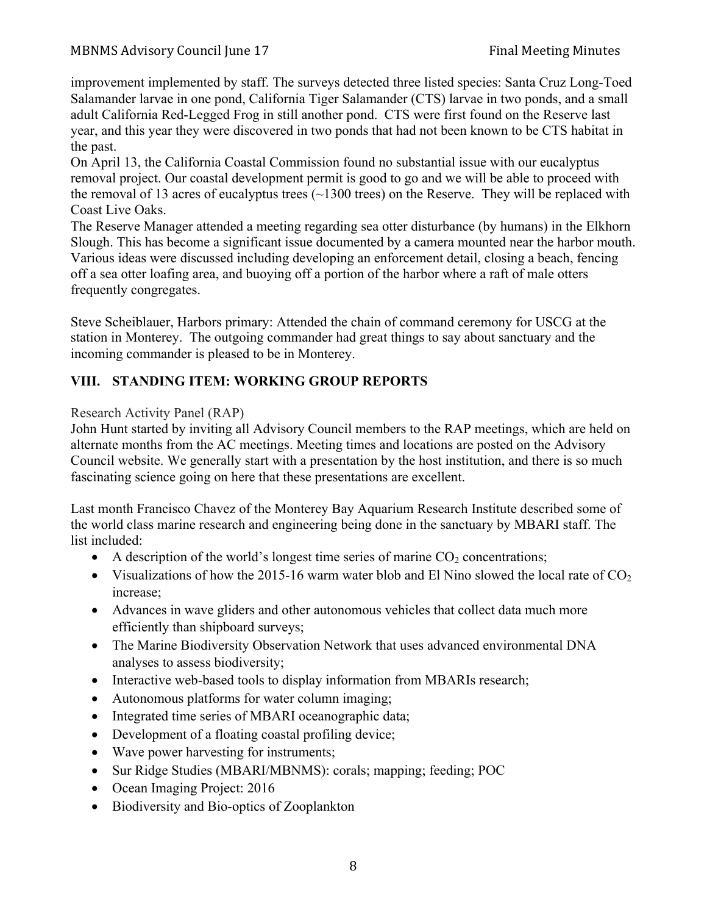improvement implemented by staff. The surveys detected three listed species: Santa Cruz Long-Toed Salamander larvae in one pond, California Tiger Salamander (CTS) larvae in two ponds, and a small adult California Red-Legged Frog in still another pond. CTS were first found on the Reserve last year, and this year they were discovered in two ponds that had not been known to be CTS habitat in the past.

On April 13, the California Coastal Commission found no substantial issue with our eucalyptus removal project. Our coastal development permit is good to go and we will be able to proceed with the removal of 13 acres of eucalyptus trees  $(\sim 1300$  trees) on the Reserve. They will be replaced with Coast Live Oaks.

The Reserve Manager attended a meeting regarding sea otter disturbance (by humans) in the Elkhorn Slough. This has become a significant issue documented by a camera mounted near the harbor mouth. Various ideas were discussed including developing an enforcement detail, closing a beach, fencing off a sea otter loafing area, and buoying off a portion of the harbor where a raft of male otters frequently congregates.

Steve Scheiblauer, Harbors primary: Attended the chain of command ceremony for USCG at the station in Monterey. The outgoing commander had great things to say about sanctuary and the incoming commander is pleased to be in Monterey.

## **VIII. STANDING ITEM: WORKING GROUP REPORTS**

#### Research Activity Panel (RAP)

John Hunt started by inviting all Advisory Council members to the RAP meetings, which are held on alternate months from the AC meetings. Meeting times and locations are posted on the Advisory Council website. We generally start with a presentation by the host institution, and there is so much fascinating science going on here that these presentations are excellent.

Last month Francisco Chavez of the Monterey Bay Aquarium Research Institute described some of the world class marine research and engineering being done in the sanctuary by MBARI staff. The list included:

- A description of the world's longest time series of marine  $CO<sub>2</sub>$  concentrations;
- Visualizations of how the 2015-16 warm water blob and El Nino slowed the local rate of  $CO<sub>2</sub>$ increase;
- Advances in wave gliders and other autonomous vehicles that collect data much more efficiently than shipboard surveys;
- The Marine Biodiversity Observation Network that uses advanced environmental DNA analyses to assess biodiversity;
- Interactive web-based tools to display information from MBARIs research;
- Autonomous platforms for water column imaging;
- Integrated time series of MBARI oceanographic data;
- Development of a floating coastal profiling device;
- Wave power harvesting for instruments;
- Sur Ridge Studies (MBARI/MBNMS): corals; mapping; feeding; POC
- Ocean Imaging Project: 2016
- Biodiversity and Bio-optics of Zooplankton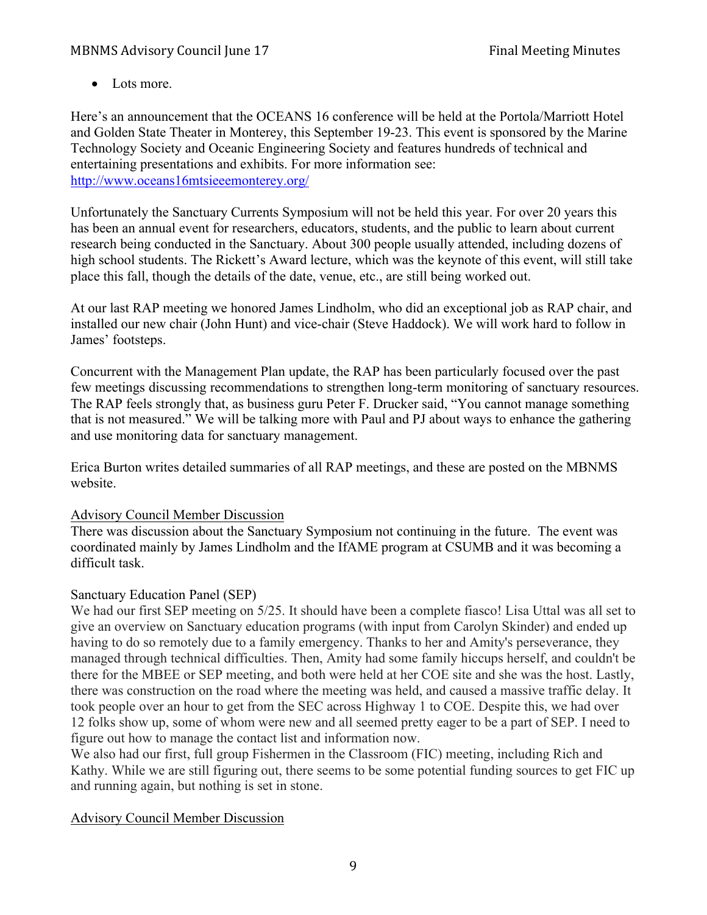• Lots more.

Here's an announcement that the OCEANS 16 conference will be held at the Portola/Marriott Hotel and Golden State Theater in Monterey, this September 19-23. This event is sponsored by the Marine Technology Society and Oceanic Engineering Society and features hundreds of technical and entertaining presentations and exhibits. For more information see: http://www.oceans16mtsieeemonterey.org/

Unfortunately the Sanctuary Currents Symposium will not be held this year. For over 20 years this has been an annual event for researchers, educators, students, and the public to learn about current research being conducted in the Sanctuary. About 300 people usually attended, including dozens of high school students. The Rickett's Award lecture, which was the keynote of this event, will still take place this fall, though the details of the date, venue, etc., are still being worked out.

At our last RAP meeting we honored James Lindholm, who did an exceptional job as RAP chair, and installed our new chair (John Hunt) and vice-chair (Steve Haddock). We will work hard to follow in James' footsteps.

Concurrent with the Management Plan update, the RAP has been particularly focused over the past few meetings discussing recommendations to strengthen long-term monitoring of sanctuary resources. The RAP feels strongly that, as business guru Peter F. Drucker said, "You cannot manage something that is not measured." We will be talking more with Paul and PJ about ways to enhance the gathering and use monitoring data for sanctuary management.

Erica Burton writes detailed summaries of all RAP meetings, and these are posted on the MBNMS website.

## Advisory Council Member Discussion

There was discussion about the Sanctuary Symposium not continuing in the future. The event was coordinated mainly by James Lindholm and the IfAME program at CSUMB and it was becoming a difficult task.

## Sanctuary Education Panel (SEP)

We had our first SEP meeting on 5/25. It should have been a complete fiasco! Lisa Uttal was all set to give an overview on Sanctuary education programs (with input from Carolyn Skinder) and ended up having to do so remotely due to a family emergency. Thanks to her and Amity's perseverance, they managed through technical difficulties. Then, Amity had some family hiccups herself, and couldn't be there for the MBEE or SEP meeting, and both were held at her COE site and she was the host. Lastly, there was construction on the road where the meeting was held, and caused a massive traffic delay. It took people over an hour to get from the SEC across Highway 1 to COE. Despite this, we had over 12 folks show up, some of whom were new and all seemed pretty eager to be a part of SEP. I need to figure out how to manage the contact list and information now.

We also had our first, full group Fishermen in the Classroom (FIC) meeting, including Rich and Kathy. While we are still figuring out, there seems to be some potential funding sources to get FIC up and running again, but nothing is set in stone.

## Advisory Council Member Discussion